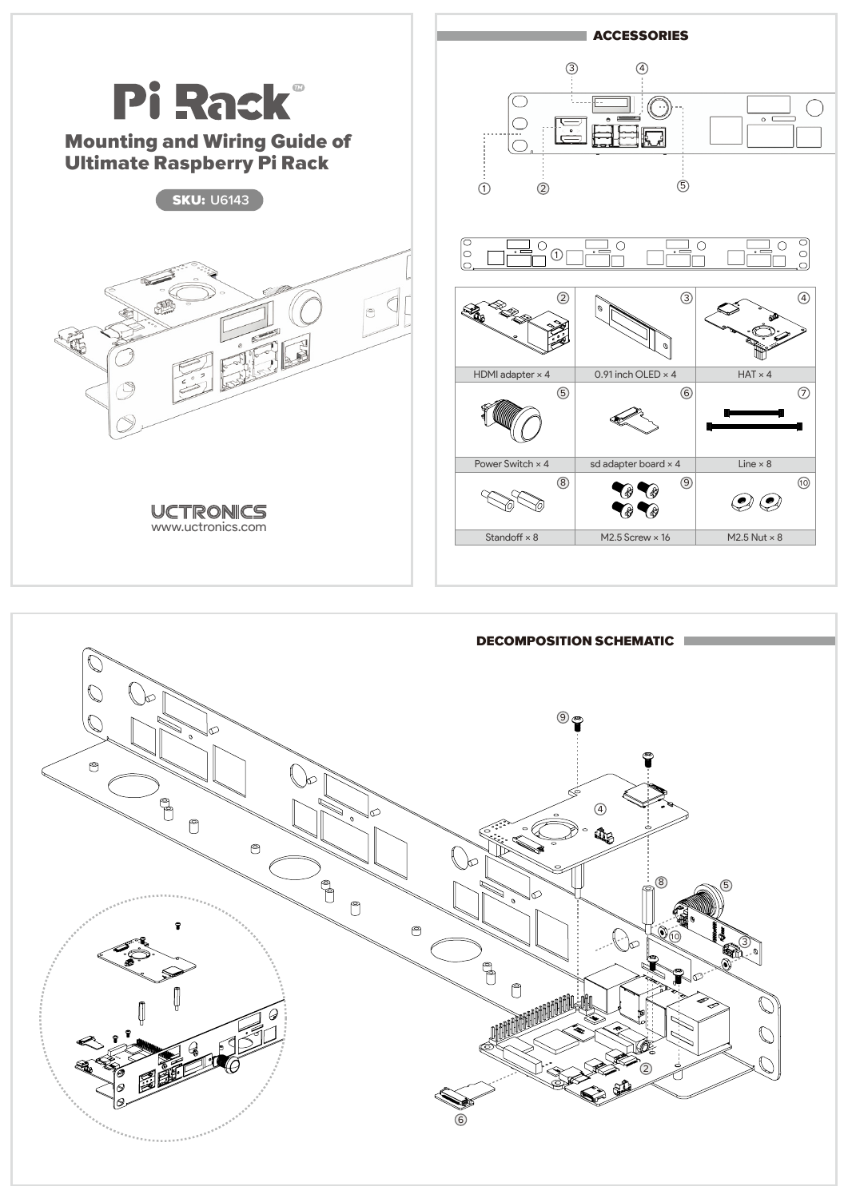